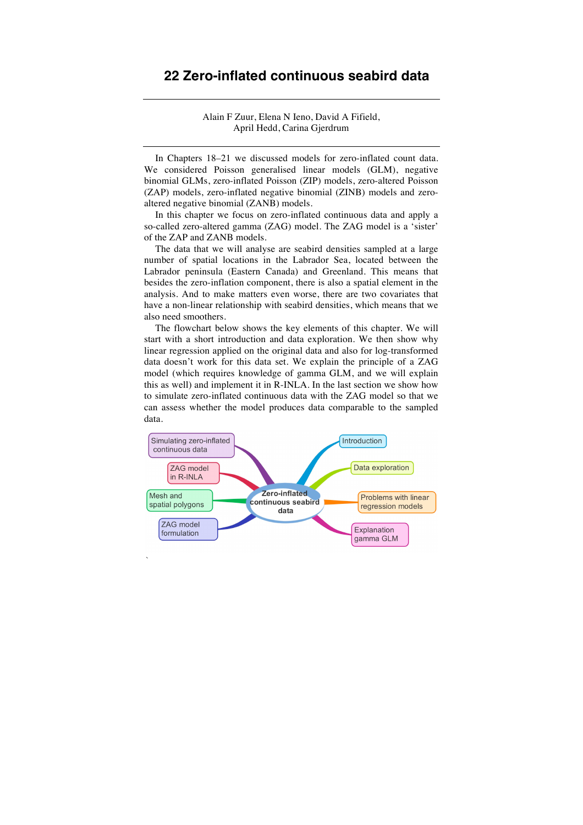Alain F Zuur, Elena N Ieno, David A Fifield, April Hedd, Carina Gjerdrum

In Chapters 18–21 we discussed models for zero-inflated count data. We considered Poisson generalised linear models (GLM), negative binomial GLMs, zero-inflated Poisson (ZIP) models, zero-altered Poisson (ZAP) models, zero-inflated negative binomial (ZINB) models and zeroaltered negative binomial (ZANB) models.

In this chapter we focus on zero-inflated continuous data and apply a so-called zero-altered gamma (ZAG) model. The ZAG model is a 'sister' of the ZAP and ZANB models.

The data that we will analyse are seabird densities sampled at a large number of spatial locations in the Labrador Sea, located between the Labrador peninsula (Eastern Canada) and Greenland. This means that besides the zero-inflation component, there is also a spatial element in the analysis. And to make matters even worse, there are two covariates that have a non-linear relationship with seabird densities, which means that we also need smoothers.

The flowchart below shows the key elements of this chapter. We will start with a short introduction and data exploration. We then show why linear regression applied on the original data and also for log-transformed data doesn't work for this data set. We explain the principle of a ZAG model (which requires knowledge of gamma GLM, and we will explain this as well) and implement it in R-INLA. In the last section we show how to simulate zero-inflated continuous data with the ZAG model so that we can assess whether the model produces data comparable to the sampled data.



`